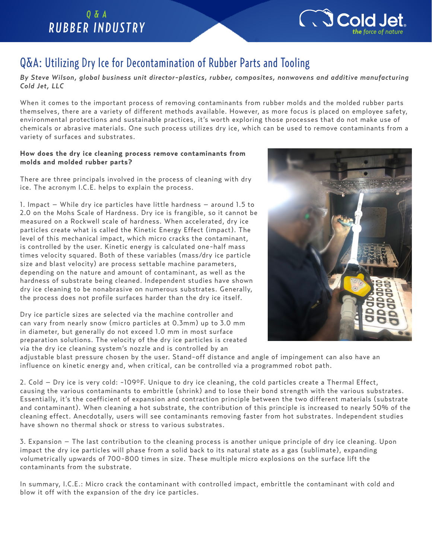## *Q & A RUBBER INDUSTRY*



# Q&A: Utilizing Dry Ice for Decontamination of Rubber Parts and Tooling

*By Steve Wilson, global business unit director-plastics, rubber, composites, nonwovens and additive manufacturing Cold Jet, LLC*

®

When it comes to the important process of removing contaminants from rubber molds and the molded rubber parts themselves, there are a variety of different methods available. However, as more focus is placed on employee safety, environmental protections and sustainable practices, it's worth exploring those processes that do not make use of chemicals or abrasive materials. One such process utilizes dry ice, which can be used to remove contaminants from a variety of surfaces and substrates.

### **How does the dry ice cleaning process remove contaminants from molds and molded rubber parts?**

There are three principals involved in the process of cleaning with dry ice. The acronym I.C.E. helps to explain the process.

1. Impact – While dry ice particles have little hardness – around 1.5 to 2.0 on the Mohs Scale of Hardness. Dry ice is frangible, so it cannot be measured on a Rockwell scale of hardness. When accelerated, dry ice particles create what is called the Kinetic Energy Effect (impact). The level of this mechanical impact, which micro cracks the contaminant, is controlled by the user. Kinetic energy is calculated one-half mass times velocity squared. Both of these variables (mass/dry ice particle size and blast velocity) are process settable machine parameters, depending on the nature and amount of contaminant, as well as the hardness of substrate being cleaned. Independent studies have shown dry ice cleaning to be nonabrasive on numerous substrates. Generally, the process does not profile surfaces harder than the dry ice itself.

Dry ice particle sizes are selected via the machine controller and can vary from nearly snow (micro particles at 0.3mm) up to 3.0 mm in diameter, but generally do not exceed 1.0 mm in most surface preparation solutions. The velocity of the dry ice particles is created via the dry ice cleaning system's nozzle and is controlled by an



adjustable blast pressure chosen by the user. Stand-off distance and angle of impingement can also have an influence on kinetic energy and, when critical, can be controlled via a programmed robot path.

2. Cold – Dry ice is very cold: -109°F. Unique to dry ice cleaning, the cold particles create a Thermal Effect, causing the various contaminants to embrittle (shrink) and to lose their bond strength with the various substrates. Essentially, it's the coefficient of expansion and contraction principle between the two different materials (substrate and contaminant). When cleaning a hot substrate, the contribution of this principle is increased to nearly 50% of the cleaning effect. Anecdotally, users will see contaminants removing faster from hot substrates. Independent studies have shown no thermal shock or stress to various substrates.

3. Expansion – The last contribution to the cleaning process is another unique principle of dry ice cleaning. Upon impact the dry ice particles will phase from a solid back to its natural state as a gas (sublimate), expanding volumetrically upwards of 700-800 times in size. These multiple micro explosions on the surface lift the contaminants from the substrate.

In summary, I.C.E.: Micro crack the contaminant with controlled impact, embrittle the contaminant with cold and blow it off with the expansion of the dry ice particles.